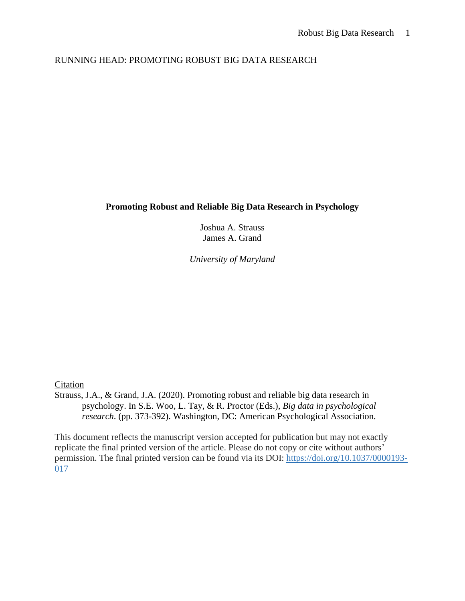# RUNNING HEAD: PROMOTING ROBUST BIG DATA RESEARCH

## **Promoting Robust and Reliable Big Data Research in Psychology**

Joshua A. Strauss James A. Grand

*University of Maryland*

## Citation

Strauss, J.A., & Grand, J.A. (2020). Promoting robust and reliable big data research in psychology. In S.E. Woo, L. Tay, & R. Proctor (Eds.), *Big data in psychological research*. (pp. 373-392). Washington, DC: American Psychological Association.

This document reflects the manuscript version accepted for publication but may not exactly replicate the final printed version of the article. Please do not copy or cite without authors' permission. The final printed version can be found via its DOI: [https://doi.org/10.1037/0000193-](https://content.apa.org/doi/10.1037/0000193-017) [017](https://content.apa.org/doi/10.1037/0000193-017)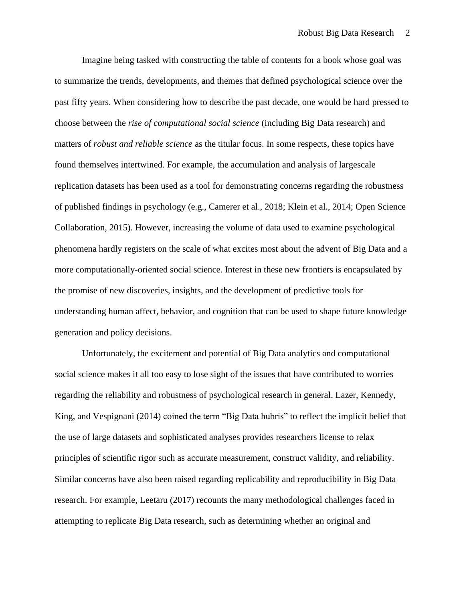Imagine being tasked with constructing the table of contents for a book whose goal was to summarize the trends, developments, and themes that defined psychological science over the past fifty years. When considering how to describe the past decade, one would be hard pressed to choose between the *rise of computational social science* (including Big Data research) and matters of *robust and reliable science* as the titular focus. In some respects, these topics have found themselves intertwined. For example, the accumulation and analysis of largescale replication datasets has been used as a tool for demonstrating concerns regarding the robustness of published findings in psychology (e.g., Camerer et al., 2018; Klein et al., 2014; Open Science Collaboration, 2015). However, increasing the volume of data used to examine psychological phenomena hardly registers on the scale of what excites most about the advent of Big Data and a more computationally-oriented social science. Interest in these new frontiers is encapsulated by the promise of new discoveries, insights, and the development of predictive tools for understanding human affect, behavior, and cognition that can be used to shape future knowledge generation and policy decisions.

Unfortunately, the excitement and potential of Big Data analytics and computational social science makes it all too easy to lose sight of the issues that have contributed to worries regarding the reliability and robustness of psychological research in general. Lazer, Kennedy, King, and Vespignani (2014) coined the term "Big Data hubris" to reflect the implicit belief that the use of large datasets and sophisticated analyses provides researchers license to relax principles of scientific rigor such as accurate measurement, construct validity, and reliability. Similar concerns have also been raised regarding replicability and reproducibility in Big Data research. For example, Leetaru (2017) recounts the many methodological challenges faced in attempting to replicate Big Data research, such as determining whether an original and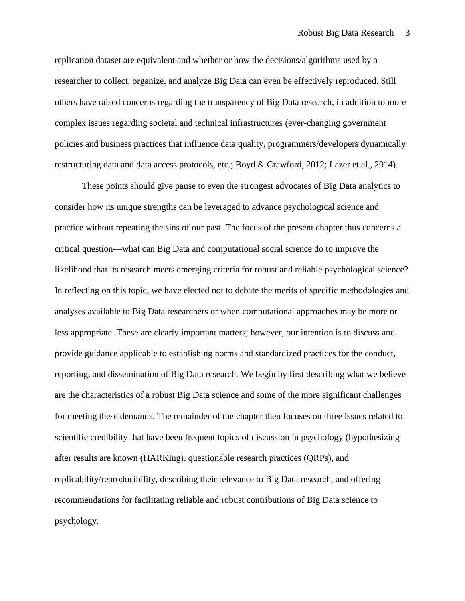replication dataset are equivalent and whether or how the decisions/algorithms used by a researcher to collect, organize, and analyze Big Data can even be effectively reproduced. Still others have raised concerns regarding the transparency of Big Data research, in addition to more complex issues regarding societal and technical infrastructures (ever-changing government policies and business practices that influence data quality, programmers/developers dynamically restructuring data and data access protocols, etc.; Boyd & Crawford, 2012; Lazer et al., 2014).

These points should give pause to even the strongest advocates of Big Data analytics to consider how its unique strengths can be leveraged to advance psychological science and practice without repeating the sins of our past. The focus of the present chapter thus concerns a critical question—what can Big Data and computational social science do to improve the likelihood that its research meets emerging criteria for robust and reliable psychological science? In reflecting on this topic, we have elected not to debate the merits of specific methodologies and analyses available to Big Data researchers or when computational approaches may be more or less appropriate. These are clearly important matters; however, our intention is to discuss and provide guidance applicable to establishing norms and standardized practices for the conduct, reporting, and dissemination of Big Data research. We begin by first describing what we believe are the characteristics of a robust Big Data science and some of the more significant challenges for meeting these demands. The remainder of the chapter then focuses on three issues related to scientific credibility that have been frequent topics of discussion in psychology (hypothesizing after results are known (HARKing), questionable research practices (QRPs), and replicability/reproducibility, describing their relevance to Big Data research, and offering recommendations for facilitating reliable and robust contributions of Big Data science to psychology.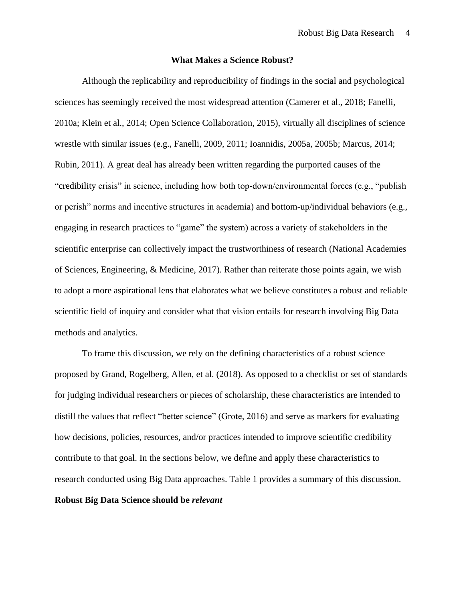#### **What Makes a Science Robust?**

Although the replicability and reproducibility of findings in the social and psychological sciences has seemingly received the most widespread attention (Camerer et al., 2018; Fanelli, 2010a; Klein et al., 2014; Open Science Collaboration, 2015), virtually all disciplines of science wrestle with similar issues (e.g., Fanelli, 2009, 2011; Ioannidis, 2005a, 2005b; Marcus, 2014; Rubin, 2011). A great deal has already been written regarding the purported causes of the "credibility crisis" in science, including how both top-down/environmental forces (e.g., "publish or perish" norms and incentive structures in academia) and bottom-up/individual behaviors (e.g., engaging in research practices to "game" the system) across a variety of stakeholders in the scientific enterprise can collectively impact the trustworthiness of research (National Academies of Sciences, Engineering, & Medicine, 2017). Rather than reiterate those points again, we wish to adopt a more aspirational lens that elaborates what we believe constitutes a robust and reliable scientific field of inquiry and consider what that vision entails for research involving Big Data methods and analytics.

To frame this discussion, we rely on the defining characteristics of a robust science proposed by Grand, Rogelberg, Allen, et al. (2018). As opposed to a checklist or set of standards for judging individual researchers or pieces of scholarship, these characteristics are intended to distill the values that reflect "better science" (Grote, 2016) and serve as markers for evaluating how decisions, policies, resources, and/or practices intended to improve scientific credibility contribute to that goal. In the sections below, we define and apply these characteristics to research conducted using Big Data approaches. Table 1 provides a summary of this discussion. **Robust Big Data Science should be** *relevant*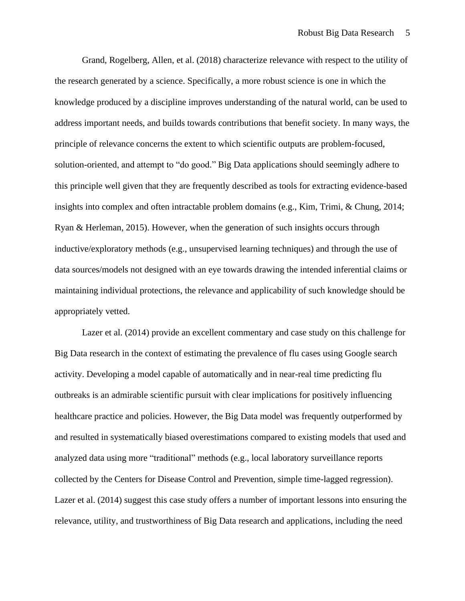Grand, Rogelberg, Allen, et al. (2018) characterize relevance with respect to the utility of the research generated by a science. Specifically, a more robust science is one in which the knowledge produced by a discipline improves understanding of the natural world, can be used to address important needs, and builds towards contributions that benefit society. In many ways, the principle of relevance concerns the extent to which scientific outputs are problem-focused, solution-oriented, and attempt to "do good." Big Data applications should seemingly adhere to this principle well given that they are frequently described as tools for extracting evidence-based insights into complex and often intractable problem domains (e.g., Kim, Trimi, & Chung, 2014; Ryan & Herleman, 2015). However, when the generation of such insights occurs through inductive/exploratory methods (e.g., unsupervised learning techniques) and through the use of data sources/models not designed with an eye towards drawing the intended inferential claims or maintaining individual protections, the relevance and applicability of such knowledge should be appropriately vetted.

Lazer et al. (2014) provide an excellent commentary and case study on this challenge for Big Data research in the context of estimating the prevalence of flu cases using Google search activity. Developing a model capable of automatically and in near-real time predicting flu outbreaks is an admirable scientific pursuit with clear implications for positively influencing healthcare practice and policies. However, the Big Data model was frequently outperformed by and resulted in systematically biased overestimations compared to existing models that used and analyzed data using more "traditional" methods (e.g., local laboratory surveillance reports collected by the Centers for Disease Control and Prevention, simple time-lagged regression). Lazer et al. (2014) suggest this case study offers a number of important lessons into ensuring the relevance, utility, and trustworthiness of Big Data research and applications, including the need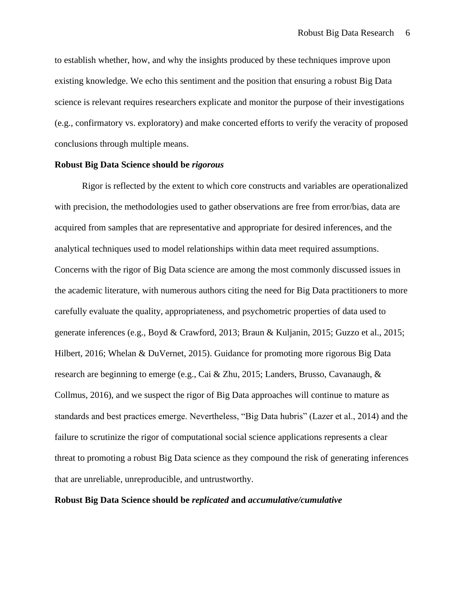to establish whether, how, and why the insights produced by these techniques improve upon existing knowledge. We echo this sentiment and the position that ensuring a robust Big Data science is relevant requires researchers explicate and monitor the purpose of their investigations (e.g., confirmatory vs. exploratory) and make concerted efforts to verify the veracity of proposed conclusions through multiple means.

## **Robust Big Data Science should be** *rigorous*

Rigor is reflected by the extent to which core constructs and variables are operationalized with precision, the methodologies used to gather observations are free from error/bias, data are acquired from samples that are representative and appropriate for desired inferences, and the analytical techniques used to model relationships within data meet required assumptions. Concerns with the rigor of Big Data science are among the most commonly discussed issues in the academic literature, with numerous authors citing the need for Big Data practitioners to more carefully evaluate the quality, appropriateness, and psychometric properties of data used to generate inferences (e.g., Boyd & Crawford, 2013; Braun & Kuljanin, 2015; Guzzo et al., 2015; Hilbert, 2016; Whelan & DuVernet, 2015). Guidance for promoting more rigorous Big Data research are beginning to emerge (e.g., Cai & Zhu, 2015; Landers, Brusso, Cavanaugh, & Collmus, 2016), and we suspect the rigor of Big Data approaches will continue to mature as standards and best practices emerge. Nevertheless, "Big Data hubris" (Lazer et al., 2014) and the failure to scrutinize the rigor of computational social science applications represents a clear threat to promoting a robust Big Data science as they compound the risk of generating inferences that are unreliable, unreproducible, and untrustworthy.

## **Robust Big Data Science should be** *replicated* **and** *accumulative/cumulative*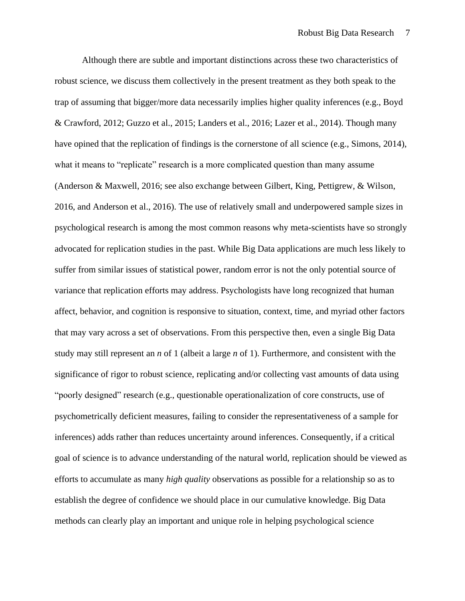Although there are subtle and important distinctions across these two characteristics of robust science, we discuss them collectively in the present treatment as they both speak to the trap of assuming that bigger/more data necessarily implies higher quality inferences (e.g., Boyd & Crawford, 2012; Guzzo et al., 2015; Landers et al., 2016; Lazer et al., 2014). Though many have opined that the replication of findings is the cornerstone of all science (e.g., Simons, 2014), what it means to "replicate" research is a more complicated question than many assume (Anderson & Maxwell, 2016; see also exchange between Gilbert, King, Pettigrew, & Wilson, 2016, and Anderson et al., 2016). The use of relatively small and underpowered sample sizes in psychological research is among the most common reasons why meta-scientists have so strongly advocated for replication studies in the past. While Big Data applications are much less likely to suffer from similar issues of statistical power, random error is not the only potential source of variance that replication efforts may address. Psychologists have long recognized that human affect, behavior, and cognition is responsive to situation, context, time, and myriad other factors that may vary across a set of observations. From this perspective then, even a single Big Data study may still represent an *n* of 1 (albeit a large *n* of 1). Furthermore, and consistent with the significance of rigor to robust science, replicating and/or collecting vast amounts of data using "poorly designed" research (e.g., questionable operationalization of core constructs, use of psychometrically deficient measures, failing to consider the representativeness of a sample for inferences) adds rather than reduces uncertainty around inferences. Consequently, if a critical goal of science is to advance understanding of the natural world, replication should be viewed as efforts to accumulate as many *high quality* observations as possible for a relationship so as to establish the degree of confidence we should place in our cumulative knowledge. Big Data methods can clearly play an important and unique role in helping psychological science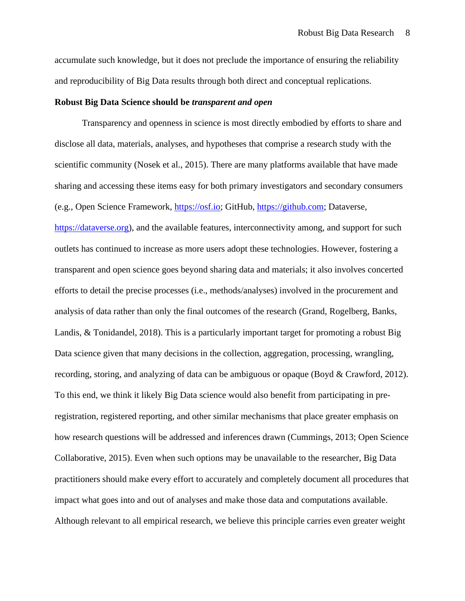accumulate such knowledge, but it does not preclude the importance of ensuring the reliability and reproducibility of Big Data results through both direct and conceptual replications.

#### **Robust Big Data Science should be** *transparent and open*

Transparency and openness in science is most directly embodied by efforts to share and disclose all data, materials, analyses, and hypotheses that comprise a research study with the scientific community (Nosek et al., 2015). There are many platforms available that have made sharing and accessing these items easy for both primary investigators and secondary consumers (e.g., Open Science Framework, [https://osf.io;](https://osf.io/) GitHub, [https://github.com;](https://github.com/) Dataverse, [https://dataverse.org\)](https://dataverse.org/), and the available features, interconnectivity among, and support for such outlets has continued to increase as more users adopt these technologies. However, fostering a transparent and open science goes beyond sharing data and materials; it also involves concerted efforts to detail the precise processes (i.e., methods/analyses) involved in the procurement and analysis of data rather than only the final outcomes of the research (Grand, Rogelberg, Banks, Landis, & Tonidandel, 2018). This is a particularly important target for promoting a robust Big Data science given that many decisions in the collection, aggregation, processing, wrangling, recording, storing, and analyzing of data can be ambiguous or opaque (Boyd & Crawford, 2012). To this end, we think it likely Big Data science would also benefit from participating in preregistration, registered reporting, and other similar mechanisms that place greater emphasis on how research questions will be addressed and inferences drawn (Cummings, 2013; Open Science Collaborative, 2015). Even when such options may be unavailable to the researcher, Big Data practitioners should make every effort to accurately and completely document all procedures that impact what goes into and out of analyses and make those data and computations available. Although relevant to all empirical research, we believe this principle carries even greater weight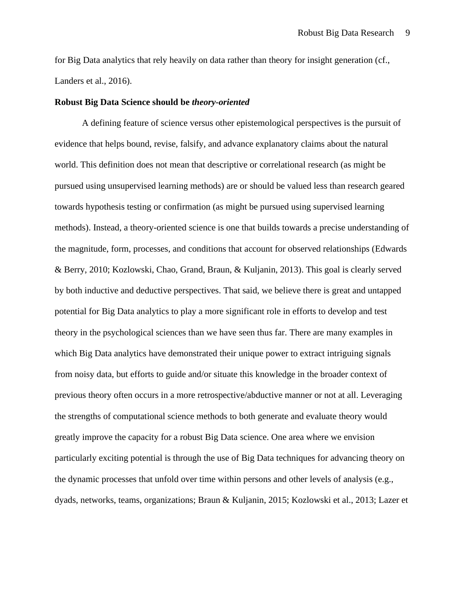for Big Data analytics that rely heavily on data rather than theory for insight generation (cf., Landers et al., 2016).

#### **Robust Big Data Science should be** *theory-oriented*

A defining feature of science versus other epistemological perspectives is the pursuit of evidence that helps bound, revise, falsify, and advance explanatory claims about the natural world. This definition does not mean that descriptive or correlational research (as might be pursued using unsupervised learning methods) are or should be valued less than research geared towards hypothesis testing or confirmation (as might be pursued using supervised learning methods). Instead, a theory-oriented science is one that builds towards a precise understanding of the magnitude, form, processes, and conditions that account for observed relationships (Edwards & Berry, 2010; Kozlowski, Chao, Grand, Braun, & Kuljanin, 2013). This goal is clearly served by both inductive and deductive perspectives. That said, we believe there is great and untapped potential for Big Data analytics to play a more significant role in efforts to develop and test theory in the psychological sciences than we have seen thus far. There are many examples in which Big Data analytics have demonstrated their unique power to extract intriguing signals from noisy data, but efforts to guide and/or situate this knowledge in the broader context of previous theory often occurs in a more retrospective/abductive manner or not at all. Leveraging the strengths of computational science methods to both generate and evaluate theory would greatly improve the capacity for a robust Big Data science. One area where we envision particularly exciting potential is through the use of Big Data techniques for advancing theory on the dynamic processes that unfold over time within persons and other levels of analysis (e.g., dyads, networks, teams, organizations; Braun & Kuljanin, 2015; Kozlowski et al., 2013; Lazer et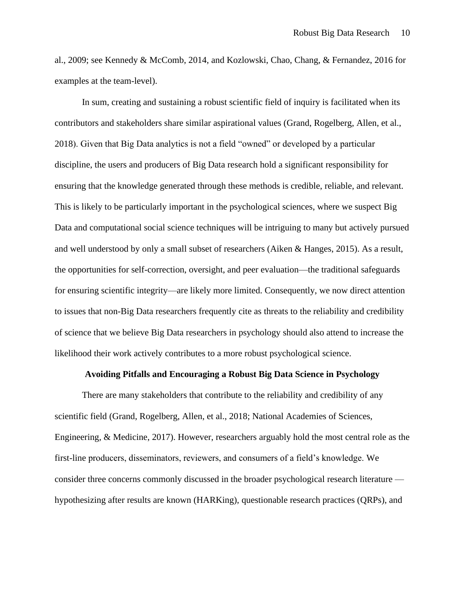al., 2009; see Kennedy & McComb, 2014, and Kozlowski, Chao, Chang, & Fernandez, 2016 for examples at the team-level).

In sum, creating and sustaining a robust scientific field of inquiry is facilitated when its contributors and stakeholders share similar aspirational values (Grand, Rogelberg, Allen, et al., 2018). Given that Big Data analytics is not a field "owned" or developed by a particular discipline, the users and producers of Big Data research hold a significant responsibility for ensuring that the knowledge generated through these methods is credible, reliable, and relevant. This is likely to be particularly important in the psychological sciences, where we suspect Big Data and computational social science techniques will be intriguing to many but actively pursued and well understood by only a small subset of researchers (Aiken & Hanges, 2015). As a result, the opportunities for self-correction, oversight, and peer evaluation—the traditional safeguards for ensuring scientific integrity—are likely more limited. Consequently, we now direct attention to issues that non-Big Data researchers frequently cite as threats to the reliability and credibility of science that we believe Big Data researchers in psychology should also attend to increase the likelihood their work actively contributes to a more robust psychological science.

#### **Avoiding Pitfalls and Encouraging a Robust Big Data Science in Psychology**

There are many stakeholders that contribute to the reliability and credibility of any scientific field (Grand, Rogelberg, Allen, et al., 2018; National Academies of Sciences, Engineering, & Medicine, 2017). However, researchers arguably hold the most central role as the first-line producers, disseminators, reviewers, and consumers of a field's knowledge. We consider three concerns commonly discussed in the broader psychological research literature hypothesizing after results are known (HARKing), questionable research practices (QRPs), and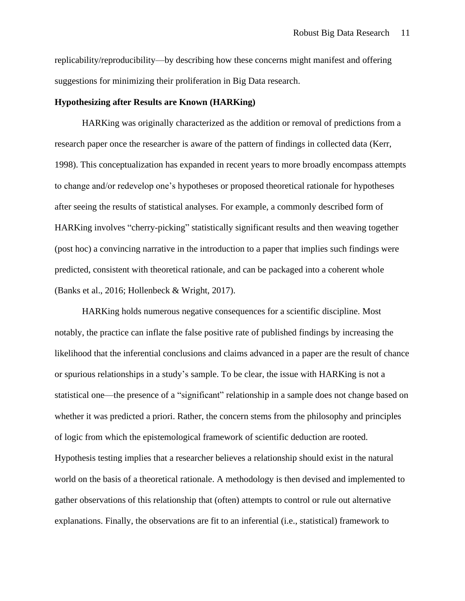replicability/reproducibility—by describing how these concerns might manifest and offering suggestions for minimizing their proliferation in Big Data research.

#### **Hypothesizing after Results are Known (HARKing)**

HARKing was originally characterized as the addition or removal of predictions from a research paper once the researcher is aware of the pattern of findings in collected data (Kerr, 1998). This conceptualization has expanded in recent years to more broadly encompass attempts to change and/or redevelop one's hypotheses or proposed theoretical rationale for hypotheses after seeing the results of statistical analyses. For example, a commonly described form of HARKing involves "cherry-picking" statistically significant results and then weaving together (post hoc) a convincing narrative in the introduction to a paper that implies such findings were predicted, consistent with theoretical rationale, and can be packaged into a coherent whole (Banks et al., 2016; Hollenbeck & Wright, 2017).

HARKing holds numerous negative consequences for a scientific discipline. Most notably, the practice can inflate the false positive rate of published findings by increasing the likelihood that the inferential conclusions and claims advanced in a paper are the result of chance or spurious relationships in a study's sample. To be clear, the issue with HARKing is not a statistical one—the presence of a "significant" relationship in a sample does not change based on whether it was predicted a priori. Rather, the concern stems from the philosophy and principles of logic from which the epistemological framework of scientific deduction are rooted. Hypothesis testing implies that a researcher believes a relationship should exist in the natural world on the basis of a theoretical rationale. A methodology is then devised and implemented to gather observations of this relationship that (often) attempts to control or rule out alternative explanations. Finally, the observations are fit to an inferential (i.e., statistical) framework to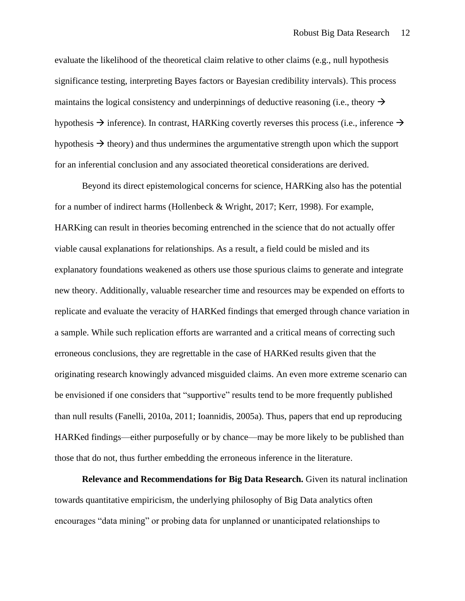evaluate the likelihood of the theoretical claim relative to other claims (e.g., null hypothesis significance testing, interpreting Bayes factors or Bayesian credibility intervals). This process maintains the logical consistency and underpinnings of deductive reasoning (i.e., theory  $\rightarrow$ hypothesis  $\rightarrow$  inference). In contrast, HARKing covertly reverses this process (i.e., inference  $\rightarrow$ hypothesis  $\rightarrow$  theory) and thus undermines the argumentative strength upon which the support for an inferential conclusion and any associated theoretical considerations are derived.

Beyond its direct epistemological concerns for science, HARKing also has the potential for a number of indirect harms (Hollenbeck & Wright, 2017; Kerr, 1998). For example, HARKing can result in theories becoming entrenched in the science that do not actually offer viable causal explanations for relationships. As a result, a field could be misled and its explanatory foundations weakened as others use those spurious claims to generate and integrate new theory. Additionally, valuable researcher time and resources may be expended on efforts to replicate and evaluate the veracity of HARKed findings that emerged through chance variation in a sample. While such replication efforts are warranted and a critical means of correcting such erroneous conclusions, they are regrettable in the case of HARKed results given that the originating research knowingly advanced misguided claims. An even more extreme scenario can be envisioned if one considers that "supportive" results tend to be more frequently published than null results (Fanelli, 2010a, 2011; Ioannidis, 2005a). Thus, papers that end up reproducing HARKed findings—either purposefully or by chance—may be more likely to be published than those that do not, thus further embedding the erroneous inference in the literature.

**Relevance and Recommendations for Big Data Research.** Given its natural inclination towards quantitative empiricism, the underlying philosophy of Big Data analytics often encourages "data mining" or probing data for unplanned or unanticipated relationships to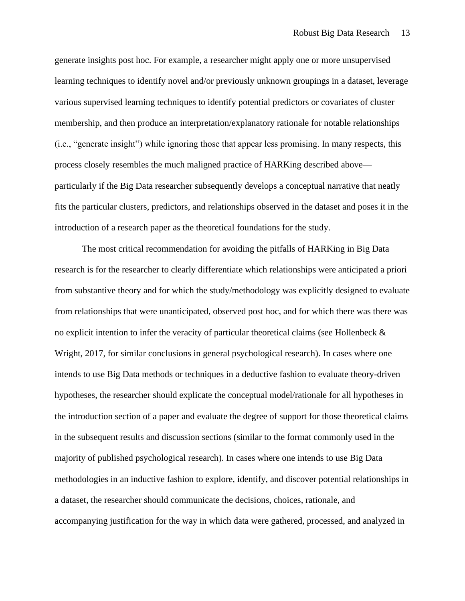generate insights post hoc. For example, a researcher might apply one or more unsupervised learning techniques to identify novel and/or previously unknown groupings in a dataset, leverage various supervised learning techniques to identify potential predictors or covariates of cluster membership, and then produce an interpretation/explanatory rationale for notable relationships (i.e., "generate insight") while ignoring those that appear less promising. In many respects, this process closely resembles the much maligned practice of HARKing described above particularly if the Big Data researcher subsequently develops a conceptual narrative that neatly fits the particular clusters, predictors, and relationships observed in the dataset and poses it in the introduction of a research paper as the theoretical foundations for the study.

The most critical recommendation for avoiding the pitfalls of HARKing in Big Data research is for the researcher to clearly differentiate which relationships were anticipated a priori from substantive theory and for which the study/methodology was explicitly designed to evaluate from relationships that were unanticipated, observed post hoc, and for which there was there was no explicit intention to infer the veracity of particular theoretical claims (see Hollenbeck  $\&$ Wright, 2017, for similar conclusions in general psychological research). In cases where one intends to use Big Data methods or techniques in a deductive fashion to evaluate theory-driven hypotheses, the researcher should explicate the conceptual model/rationale for all hypotheses in the introduction section of a paper and evaluate the degree of support for those theoretical claims in the subsequent results and discussion sections (similar to the format commonly used in the majority of published psychological research). In cases where one intends to use Big Data methodologies in an inductive fashion to explore, identify, and discover potential relationships in a dataset, the researcher should communicate the decisions, choices, rationale, and accompanying justification for the way in which data were gathered, processed, and analyzed in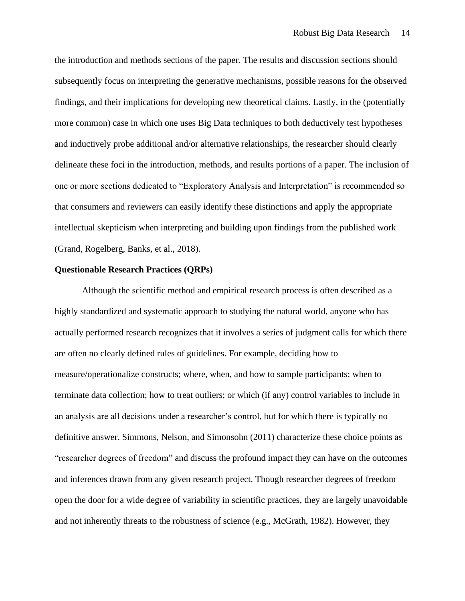the introduction and methods sections of the paper. The results and discussion sections should subsequently focus on interpreting the generative mechanisms, possible reasons for the observed findings, and their implications for developing new theoretical claims. Lastly, in the (potentially more common) case in which one uses Big Data techniques to both deductively test hypotheses and inductively probe additional and/or alternative relationships, the researcher should clearly delineate these foci in the introduction, methods, and results portions of a paper. The inclusion of one or more sections dedicated to "Exploratory Analysis and Interpretation" is recommended so that consumers and reviewers can easily identify these distinctions and apply the appropriate intellectual skepticism when interpreting and building upon findings from the published work (Grand, Rogelberg, Banks, et al., 2018).

#### **Questionable Research Practices (QRPs)**

Although the scientific method and empirical research process is often described as a highly standardized and systematic approach to studying the natural world, anyone who has actually performed research recognizes that it involves a series of judgment calls for which there are often no clearly defined rules of guidelines. For example, deciding how to measure/operationalize constructs; where, when, and how to sample participants; when to terminate data collection; how to treat outliers; or which (if any) control variables to include in an analysis are all decisions under a researcher's control, but for which there is typically no definitive answer. Simmons, Nelson, and Simonsohn (2011) characterize these choice points as "researcher degrees of freedom" and discuss the profound impact they can have on the outcomes and inferences drawn from any given research project. Though researcher degrees of freedom open the door for a wide degree of variability in scientific practices, they are largely unavoidable and not inherently threats to the robustness of science (e.g., McGrath, 1982). However, they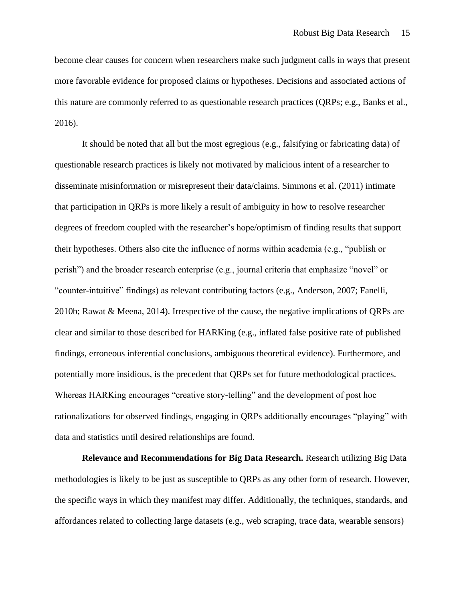become clear causes for concern when researchers make such judgment calls in ways that present more favorable evidence for proposed claims or hypotheses. Decisions and associated actions of this nature are commonly referred to as questionable research practices (QRPs; e.g., Banks et al., 2016).

It should be noted that all but the most egregious (e.g., falsifying or fabricating data) of questionable research practices is likely not motivated by malicious intent of a researcher to disseminate misinformation or misrepresent their data/claims. Simmons et al. (2011) intimate that participation in QRPs is more likely a result of ambiguity in how to resolve researcher degrees of freedom coupled with the researcher's hope/optimism of finding results that support their hypotheses. Others also cite the influence of norms within academia (e.g., "publish or perish") and the broader research enterprise (e.g., journal criteria that emphasize "novel" or "counter-intuitive" findings) as relevant contributing factors (e.g., Anderson, 2007; Fanelli, 2010b; Rawat & Meena, 2014). Irrespective of the cause, the negative implications of QRPs are clear and similar to those described for HARKing (e.g., inflated false positive rate of published findings, erroneous inferential conclusions, ambiguous theoretical evidence). Furthermore, and potentially more insidious, is the precedent that QRPs set for future methodological practices. Whereas HARKing encourages "creative story-telling" and the development of post hoc rationalizations for observed findings, engaging in QRPs additionally encourages "playing" with data and statistics until desired relationships are found.

**Relevance and Recommendations for Big Data Research.** Research utilizing Big Data methodologies is likely to be just as susceptible to QRPs as any other form of research. However, the specific ways in which they manifest may differ. Additionally, the techniques, standards, and affordances related to collecting large datasets (e.g., web scraping, trace data, wearable sensors)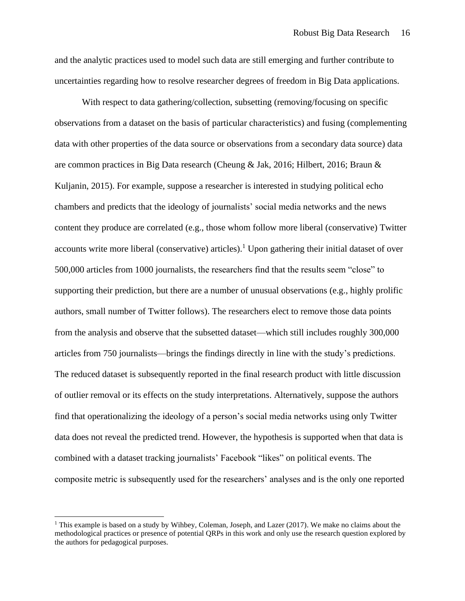and the analytic practices used to model such data are still emerging and further contribute to uncertainties regarding how to resolve researcher degrees of freedom in Big Data applications.

With respect to data gathering/collection, subsetting (removing/focusing on specific observations from a dataset on the basis of particular characteristics) and fusing (complementing data with other properties of the data source or observations from a secondary data source) data are common practices in Big Data research (Cheung & Jak, 2016; Hilbert, 2016; Braun & Kuljanin, 2015). For example, suppose a researcher is interested in studying political echo chambers and predicts that the ideology of journalists' social media networks and the news content they produce are correlated (e.g., those whom follow more liberal (conservative) Twitter accounts write more liberal (conservative) articles).<sup>1</sup> Upon gathering their initial dataset of over 500,000 articles from 1000 journalists, the researchers find that the results seem "close" to supporting their prediction, but there are a number of unusual observations (e.g., highly prolific authors, small number of Twitter follows). The researchers elect to remove those data points from the analysis and observe that the subsetted dataset—which still includes roughly 300,000 articles from 750 journalists—brings the findings directly in line with the study's predictions. The reduced dataset is subsequently reported in the final research product with little discussion of outlier removal or its effects on the study interpretations. Alternatively, suppose the authors find that operationalizing the ideology of a person's social media networks using only Twitter data does not reveal the predicted trend. However, the hypothesis is supported when that data is combined with a dataset tracking journalists' Facebook "likes" on political events. The composite metric is subsequently used for the researchers' analyses and is the only one reported

<sup>1</sup> This example is based on a study by Wihbey, Coleman, Joseph, and Lazer (2017). We make no claims about the methodological practices or presence of potential QRPs in this work and only use the research question explored by the authors for pedagogical purposes.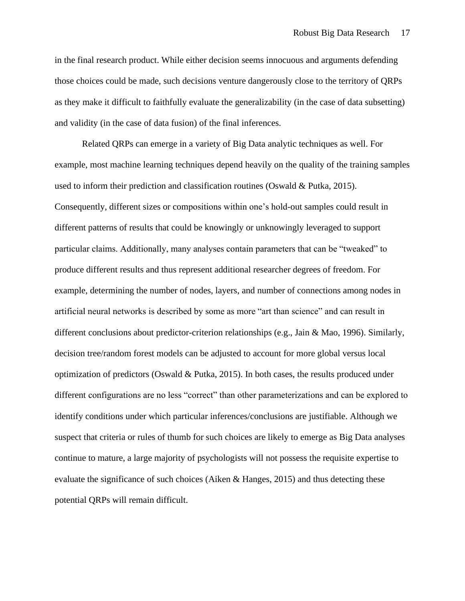in the final research product. While either decision seems innocuous and arguments defending those choices could be made, such decisions venture dangerously close to the territory of QRPs as they make it difficult to faithfully evaluate the generalizability (in the case of data subsetting) and validity (in the case of data fusion) of the final inferences.

Related QRPs can emerge in a variety of Big Data analytic techniques as well. For example, most machine learning techniques depend heavily on the quality of the training samples used to inform their prediction and classification routines (Oswald  $&$  Putka, 2015). Consequently, different sizes or compositions within one's hold-out samples could result in different patterns of results that could be knowingly or unknowingly leveraged to support particular claims. Additionally, many analyses contain parameters that can be "tweaked" to produce different results and thus represent additional researcher degrees of freedom. For example, determining the number of nodes, layers, and number of connections among nodes in artificial neural networks is described by some as more "art than science" and can result in different conclusions about predictor-criterion relationships (e.g., Jain & Mao, 1996). Similarly, decision tree/random forest models can be adjusted to account for more global versus local optimization of predictors (Oswald & Putka, 2015). In both cases, the results produced under different configurations are no less "correct" than other parameterizations and can be explored to identify conditions under which particular inferences/conclusions are justifiable. Although we suspect that criteria or rules of thumb for such choices are likely to emerge as Big Data analyses continue to mature, a large majority of psychologists will not possess the requisite expertise to evaluate the significance of such choices (Aiken & Hanges, 2015) and thus detecting these potential QRPs will remain difficult.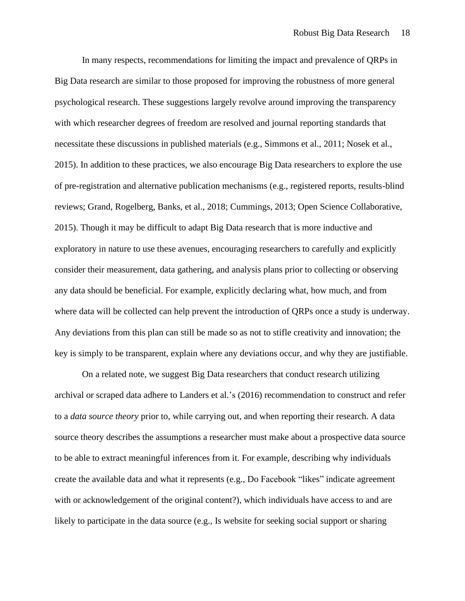In many respects, recommendations for limiting the impact and prevalence of QRPs in Big Data research are similar to those proposed for improving the robustness of more general psychological research. These suggestions largely revolve around improving the transparency with which researcher degrees of freedom are resolved and journal reporting standards that necessitate these discussions in published materials (e.g., Simmons et al., 2011; Nosek et al., 2015). In addition to these practices, we also encourage Big Data researchers to explore the use of pre-registration and alternative publication mechanisms (e.g., registered reports, results-blind reviews; Grand, Rogelberg, Banks, et al., 2018; Cummings, 2013; Open Science Collaborative, 2015). Though it may be difficult to adapt Big Data research that is more inductive and exploratory in nature to use these avenues, encouraging researchers to carefully and explicitly consider their measurement, data gathering, and analysis plans prior to collecting or observing any data should be beneficial. For example, explicitly declaring what, how much, and from where data will be collected can help prevent the introduction of QRPs once a study is underway. Any deviations from this plan can still be made so as not to stifle creativity and innovation; the key is simply to be transparent, explain where any deviations occur, and why they are justifiable.

On a related note, we suggest Big Data researchers that conduct research utilizing archival or scraped data adhere to Landers et al.'s (2016) recommendation to construct and refer to a *data source theory* prior to, while carrying out, and when reporting their research. A data source theory describes the assumptions a researcher must make about a prospective data source to be able to extract meaningful inferences from it. For example, describing why individuals create the available data and what it represents (e.g., Do Facebook "likes" indicate agreement with or acknowledgement of the original content?), which individuals have access to and are likely to participate in the data source (e.g., Is website for seeking social support or sharing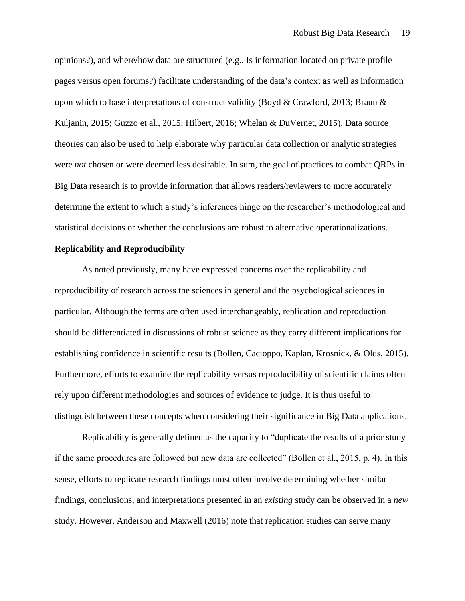opinions?), and where/how data are structured (e.g., Is information located on private profile pages versus open forums?) facilitate understanding of the data's context as well as information upon which to base interpretations of construct validity (Boyd & Crawford, 2013; Braun & Kuljanin, 2015; Guzzo et al., 2015; Hilbert, 2016; Whelan & DuVernet, 2015). Data source theories can also be used to help elaborate why particular data collection or analytic strategies were *not* chosen or were deemed less desirable. In sum, the goal of practices to combat QRPs in Big Data research is to provide information that allows readers/reviewers to more accurately determine the extent to which a study's inferences hinge on the researcher's methodological and statistical decisions or whether the conclusions are robust to alternative operationalizations.

# **Replicability and Reproducibility**

As noted previously, many have expressed concerns over the replicability and reproducibility of research across the sciences in general and the psychological sciences in particular. Although the terms are often used interchangeably, replication and reproduction should be differentiated in discussions of robust science as they carry different implications for establishing confidence in scientific results (Bollen, Cacioppo, Kaplan, Krosnick, & Olds, 2015). Furthermore, efforts to examine the replicability versus reproducibility of scientific claims often rely upon different methodologies and sources of evidence to judge. It is thus useful to distinguish between these concepts when considering their significance in Big Data applications.

Replicability is generally defined as the capacity to "duplicate the results of a prior study if the same procedures are followed but new data are collected" (Bollen et al., 2015, p. 4). In this sense, efforts to replicate research findings most often involve determining whether similar findings, conclusions, and interpretations presented in an *existing* study can be observed in a *new* study. However, Anderson and Maxwell (2016) note that replication studies can serve many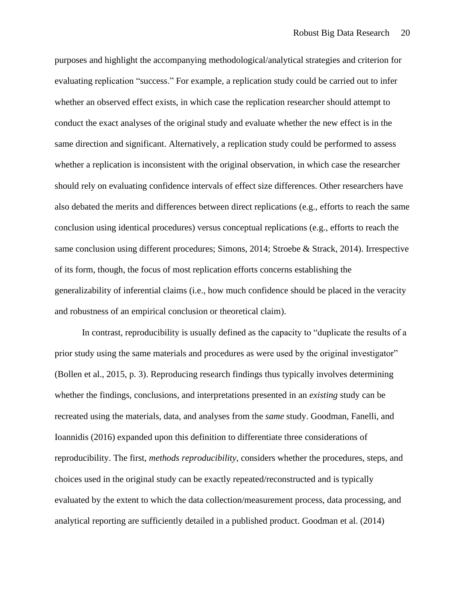purposes and highlight the accompanying methodological/analytical strategies and criterion for evaluating replication "success." For example, a replication study could be carried out to infer whether an observed effect exists, in which case the replication researcher should attempt to conduct the exact analyses of the original study and evaluate whether the new effect is in the same direction and significant. Alternatively, a replication study could be performed to assess whether a replication is inconsistent with the original observation, in which case the researcher should rely on evaluating confidence intervals of effect size differences. Other researchers have also debated the merits and differences between direct replications (e.g., efforts to reach the same conclusion using identical procedures) versus conceptual replications (e.g., efforts to reach the same conclusion using different procedures; Simons, 2014; Stroebe & Strack, 2014). Irrespective of its form, though, the focus of most replication efforts concerns establishing the generalizability of inferential claims (i.e., how much confidence should be placed in the veracity and robustness of an empirical conclusion or theoretical claim).

In contrast, reproducibility is usually defined as the capacity to "duplicate the results of a prior study using the same materials and procedures as were used by the original investigator" (Bollen et al., 2015, p. 3). Reproducing research findings thus typically involves determining whether the findings, conclusions, and interpretations presented in an *existing* study can be recreated using the materials, data, and analyses from the *same* study. Goodman, Fanelli, and Ioannidis (2016) expanded upon this definition to differentiate three considerations of reproducibility. The first, *methods reproducibility*, considers whether the procedures, steps, and choices used in the original study can be exactly repeated/reconstructed and is typically evaluated by the extent to which the data collection/measurement process, data processing, and analytical reporting are sufficiently detailed in a published product. Goodman et al. (2014)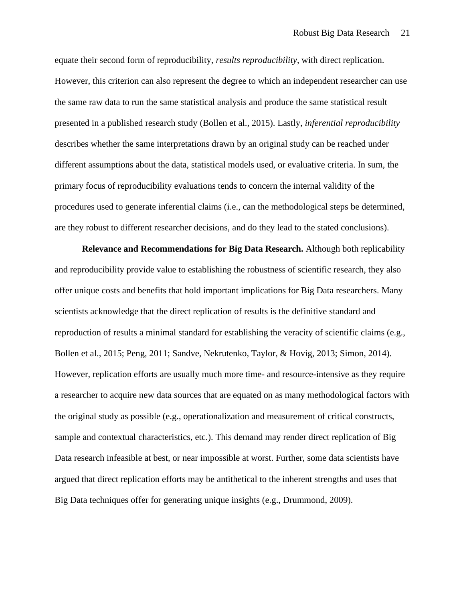equate their second form of reproducibility, *results reproducibility*, with direct replication. However, this criterion can also represent the degree to which an independent researcher can use the same raw data to run the same statistical analysis and produce the same statistical result presented in a published research study (Bollen et al., 2015). Lastly, *inferential reproducibility* describes whether the same interpretations drawn by an original study can be reached under different assumptions about the data, statistical models used, or evaluative criteria. In sum, the primary focus of reproducibility evaluations tends to concern the internal validity of the procedures used to generate inferential claims (i.e., can the methodological steps be determined, are they robust to different researcher decisions, and do they lead to the stated conclusions).

**Relevance and Recommendations for Big Data Research.** Although both replicability and reproducibility provide value to establishing the robustness of scientific research, they also offer unique costs and benefits that hold important implications for Big Data researchers. Many scientists acknowledge that the direct replication of results is the definitive standard and reproduction of results a minimal standard for establishing the veracity of scientific claims (e.g., Bollen et al., 2015; Peng, 2011; Sandve, Nekrutenko, Taylor, & Hovig, 2013; Simon, 2014). However, replication efforts are usually much more time- and resource-intensive as they require a researcher to acquire new data sources that are equated on as many methodological factors with the original study as possible (e.g., operationalization and measurement of critical constructs, sample and contextual characteristics, etc.). This demand may render direct replication of Big Data research infeasible at best, or near impossible at worst. Further, some data scientists have argued that direct replication efforts may be antithetical to the inherent strengths and uses that Big Data techniques offer for generating unique insights (e.g., Drummond, 2009).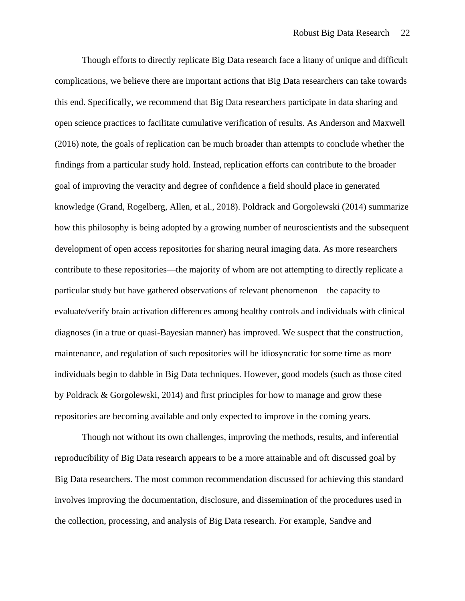Though efforts to directly replicate Big Data research face a litany of unique and difficult complications, we believe there are important actions that Big Data researchers can take towards this end. Specifically, we recommend that Big Data researchers participate in data sharing and open science practices to facilitate cumulative verification of results. As Anderson and Maxwell (2016) note, the goals of replication can be much broader than attempts to conclude whether the findings from a particular study hold. Instead, replication efforts can contribute to the broader goal of improving the veracity and degree of confidence a field should place in generated knowledge (Grand, Rogelberg, Allen, et al., 2018). Poldrack and Gorgolewski (2014) summarize how this philosophy is being adopted by a growing number of neuroscientists and the subsequent development of open access repositories for sharing neural imaging data. As more researchers contribute to these repositories—the majority of whom are not attempting to directly replicate a particular study but have gathered observations of relevant phenomenon—the capacity to evaluate/verify brain activation differences among healthy controls and individuals with clinical diagnoses (in a true or quasi-Bayesian manner) has improved. We suspect that the construction, maintenance, and regulation of such repositories will be idiosyncratic for some time as more individuals begin to dabble in Big Data techniques. However, good models (such as those cited by Poldrack & Gorgolewski, 2014) and first principles for how to manage and grow these repositories are becoming available and only expected to improve in the coming years.

Though not without its own challenges, improving the methods, results, and inferential reproducibility of Big Data research appears to be a more attainable and oft discussed goal by Big Data researchers. The most common recommendation discussed for achieving this standard involves improving the documentation, disclosure, and dissemination of the procedures used in the collection, processing, and analysis of Big Data research. For example, Sandve and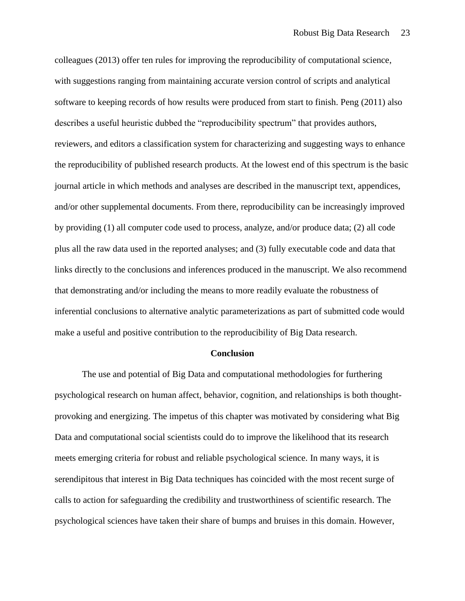colleagues (2013) offer ten rules for improving the reproducibility of computational science, with suggestions ranging from maintaining accurate version control of scripts and analytical software to keeping records of how results were produced from start to finish. Peng (2011) also describes a useful heuristic dubbed the "reproducibility spectrum" that provides authors, reviewers, and editors a classification system for characterizing and suggesting ways to enhance the reproducibility of published research products. At the lowest end of this spectrum is the basic journal article in which methods and analyses are described in the manuscript text, appendices, and/or other supplemental documents. From there, reproducibility can be increasingly improved by providing (1) all computer code used to process, analyze, and/or produce data; (2) all code plus all the raw data used in the reported analyses; and (3) fully executable code and data that links directly to the conclusions and inferences produced in the manuscript. We also recommend that demonstrating and/or including the means to more readily evaluate the robustness of inferential conclusions to alternative analytic parameterizations as part of submitted code would make a useful and positive contribution to the reproducibility of Big Data research.

#### **Conclusion**

The use and potential of Big Data and computational methodologies for furthering psychological research on human affect, behavior, cognition, and relationships is both thoughtprovoking and energizing. The impetus of this chapter was motivated by considering what Big Data and computational social scientists could do to improve the likelihood that its research meets emerging criteria for robust and reliable psychological science. In many ways, it is serendipitous that interest in Big Data techniques has coincided with the most recent surge of calls to action for safeguarding the credibility and trustworthiness of scientific research. The psychological sciences have taken their share of bumps and bruises in this domain. However,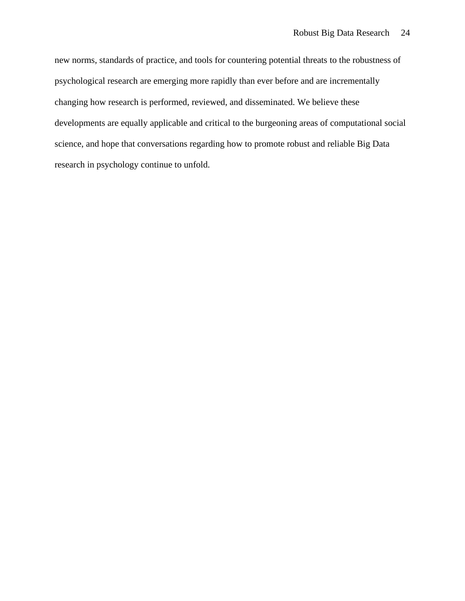new norms, standards of practice, and tools for countering potential threats to the robustness of psychological research are emerging more rapidly than ever before and are incrementally changing how research is performed, reviewed, and disseminated. We believe these developments are equally applicable and critical to the burgeoning areas of computational social science, and hope that conversations regarding how to promote robust and reliable Big Data research in psychology continue to unfold.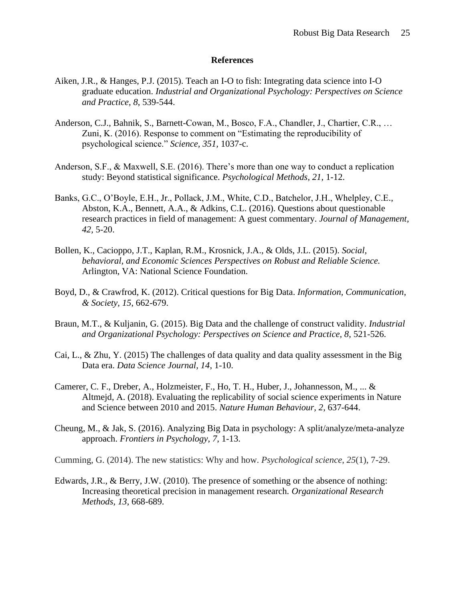# **References**

- Aiken, J.R., & Hanges, P.J. (2015). Teach an I-O to fish: Integrating data science into I-O graduate education. *Industrial and Organizational Psychology: Perspectives on Science and Practice, 8*, 539-544.
- Anderson, C.J., Bahnik, S., Barnett-Cowan, M., Bosco, F.A., Chandler, J., Chartier, C.R., … Zuni, K. (2016). Response to comment on "Estimating the reproducibility of psychological science." *Science, 351,* 1037-c.
- Anderson, S.F., & Maxwell, S.E. (2016). There's more than one way to conduct a replication study: Beyond statistical significance. *Psychological Methods, 21*, 1-12.
- Banks, G.C., O'Boyle, E.H., Jr., Pollack, J.M., White, C.D., Batchelor, J.H., Whelpley, C.E., Abston, K.A., Bennett, A.A., & Adkins, C.L. (2016). Questions about questionable research practices in field of management: A guest commentary. *Journal of Management, 42,* 5-20.
- Bollen, K., Cacioppo, J.T., Kaplan, R.M., Krosnick, J.A., & Olds, J.L. (2015). *Social, behavioral, and Economic Sciences Perspectives on Robust and Reliable Science.* Arlington, VA: National Science Foundation.
- Boyd, D., & Crawfrod, K. (2012). Critical questions for Big Data. *Information, Communication, & Society, 15*, 662-679.
- Braun, M.T., & Kuljanin, G. (2015). Big Data and the challenge of construct validity. *Industrial and Organizational Psychology: Perspectives on Science and Practice, 8*, 521-526.
- Cai, L., & Zhu, Y. (2015) The challenges of data quality and data quality assessment in the Big Data era. *Data Science Journal, 14*, 1-10.
- Camerer, C. F., Dreber, A., Holzmeister, F., Ho, T. H., Huber, J., Johannesson, M., ... & Altmejd, A. (2018). Evaluating the replicability of social science experiments in Nature and Science between 2010 and 2015. *Nature Human Behaviour, 2*, 637-644.
- Cheung, M., & Jak, S. (2016). Analyzing Big Data in psychology: A split/analyze/meta-analyze approach. *Frontiers in Psychology*, *7*, 1-13.
- Cumming, G. (2014). The new statistics: Why and how. *Psychological science*, *25*(1), 7-29.
- Edwards, J.R., & Berry, J.W. (2010). The presence of something or the absence of nothing: Increasing theoretical precision in management research. *Organizational Research Methods, 13*, 668-689.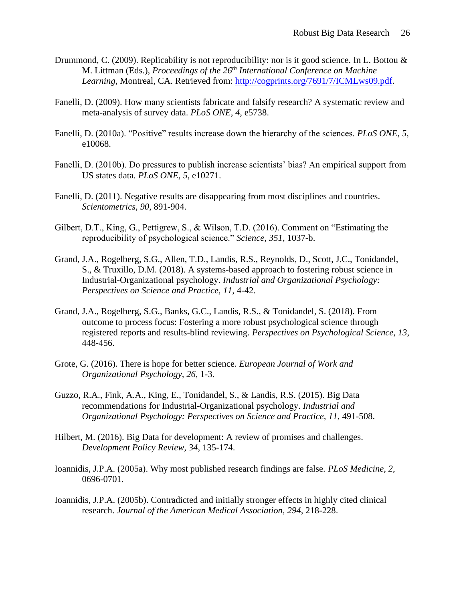- Drummond, C. (2009). Replicability is not reproducibility: nor is it good science. In L. Bottou  $\&$ M. Littman (Eds.), *Proceedings of the 26th International Conference on Machine Learning*, Montreal, CA. Retrieved from: [http://cogprints.org/7691/7/ICMLws09.pdf.](http://cogprints.org/7691/7/ICMLws09.pdf)
- Fanelli, D. (2009). How many scientists fabricate and falsify research? A systematic review and meta-analysis of survey data. *PLoS ONE, 4,* e5738.
- Fanelli, D. (2010a). "Positive" results increase down the hierarchy of the sciences. *PLoS ONE, 5*, e10068.
- Fanelli, D. (2010b). Do pressures to publish increase scientists' bias? An empirical support from US states data. *PLoS ONE, 5*, e10271.
- Fanelli, D. (2011). Negative results are disappearing from most disciplines and countries. *Scientometrics, 90*, 891-904.
- Gilbert, D.T., King, G., Pettigrew, S., & Wilson, T.D. (2016). Comment on "Estimating the reproducibility of psychological science." *Science, 351*, 1037-b.
- Grand, J.A., Rogelberg, S.G., Allen, T.D., Landis, R.S., Reynolds, D., Scott, J.C., Tonidandel, S., & Truxillo, D.M. (2018). A systems-based approach to fostering robust science in Industrial-Organizational psychology. *Industrial and Organizational Psychology: Perspectives on Science and Practice, 11*, 4-42.
- Grand, J.A., Rogelberg, S.G., Banks, G.C., Landis, R.S., & Tonidandel, S. (2018). From outcome to process focus: Fostering a more robust psychological science through registered reports and results-blind reviewing. *Perspectives on Psychological Science, 13*, 448-456.
- Grote, G. (2016). There is hope for better science. *European Journal of Work and Organizational Psychology, 26*, 1-3.
- Guzzo, R.A., Fink, A.A., King, E., Tonidandel, S., & Landis, R.S. (2015). Big Data recommendations for Industrial-Organizational psychology. *Industrial and Organizational Psychology: Perspectives on Science and Practice, 11*, 491-508.
- Hilbert, M. (2016). Big Data for development: A review of promises and challenges. *Development Policy Review, 34*, 135-174.
- Ioannidis, J.P.A. (2005a). Why most published research findings are false. *PLoS Medicine, 2*, 0696-0701.
- Ioannidis, J.P.A. (2005b). Contradicted and initially stronger effects in highly cited clinical research. *Journal of the American Medical Association, 294*, 218-228.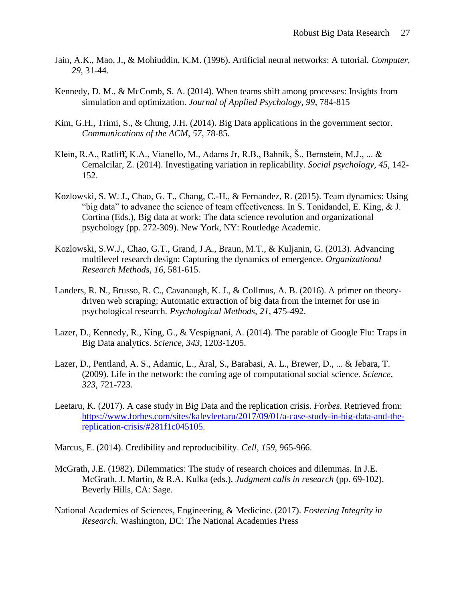- Jain, A.K., Mao, J., & Mohiuddin, K.M. (1996). Artificial neural networks: A tutorial. *Computer, 29*, 31-44.
- Kennedy, D. M., & McComb, S. A. (2014). When teams shift among processes: Insights from simulation and optimization. *Journal of Applied Psychology*, *99*, 784-815
- Kim, G.H., Trimi, S., & Chung, J.H. (2014). Big Data applications in the government sector. *Communications of the ACM, 57*, 78-85.
- Klein, R.A., Ratliff, K.A., Vianello, M., Adams Jr, R.B., Bahník, Š., Bernstein, M.J., ... & Cemalcilar, Z. (2014). Investigating variation in replicability. *Social psychology, 45*, 142- 152.
- Kozlowski, S. W. J., Chao, G. T., Chang, C.-H., & Fernandez, R. (2015). Team dynamics: Using "big data" to advance the science of team effectiveness. In S. Tonidandel, E. King, & J. Cortina (Eds.), Big data at work: The data science revolution and organizational psychology (pp. 272-309). New York, NY: Routledge Academic.
- Kozlowski, S.W.J., Chao, G.T., Grand, J.A., Braun, M.T., & Kuljanin, G. (2013). Advancing multilevel research design: Capturing the dynamics of emergence. *Organizational Research Methods, 16*, 581-615.
- Landers, R. N., Brusso, R. C., Cavanaugh, K. J., & Collmus, A. B. (2016). A primer on theorydriven web scraping: Automatic extraction of big data from the internet for use in psychological research*. Psychological Methods, 21*, 475-492.
- Lazer, D., Kennedy, R., King, G., & Vespignani, A. (2014). The parable of Google Flu: Traps in Big Data analytics. *Science, 343*, 1203-1205.
- Lazer, D., Pentland, A. S., Adamic, L., Aral, S., Barabasi, A. L., Brewer, D., ... & Jebara, T. (2009). Life in the network: the coming age of computational social science. *Science*, *323*, 721-723.
- Leetaru, K. (2017). A case study in Big Data and the replication crisis. *Forbes*. Retrieved from: [https://www.forbes.com/sites/kalevleetaru/2017/09/01/a-case-study-in-big-data-and-the](https://www.forbes.com/sites/kalevleetaru/2017/09/01/a-case-study-in-big-data-and-the-replication-crisis/#281f1c045105)[replication-crisis/#281f1c045105.](https://www.forbes.com/sites/kalevleetaru/2017/09/01/a-case-study-in-big-data-and-the-replication-crisis/#281f1c045105)
- Marcus, E. (2014). Credibility and reproducibility. *Cell, 159,* 965-966.
- McGrath, J.E. (1982). Dilemmatics: The study of research choices and dilemmas. In J.E. McGrath, J. Martin, & R.A. Kulka (eds.), *Judgment calls in research* (pp. 69-102). Beverly Hills, CA: Sage.
- National Academies of Sciences, Engineering, & Medicine. (2017). *Fostering Integrity in Research*. Washington, DC: The National Academies Press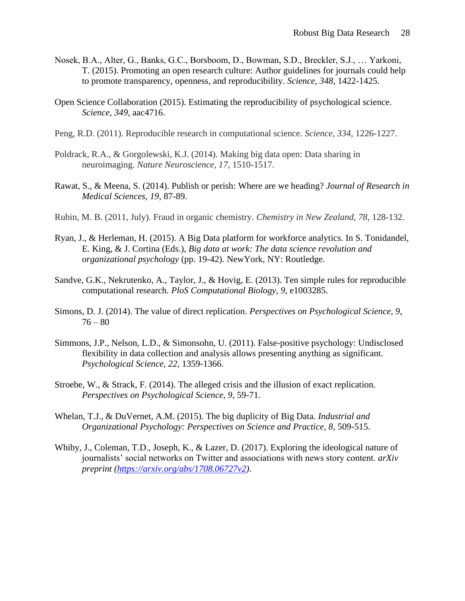- Nosek, B.A., Alter, G., Banks, G.C., Borsboom, D., Bowman, S.D., Breckler, S.J., … Yarkoni, T. (2015). Promoting an open research culture: Author guidelines for journals could help to promote transparency, openness, and reproducibility. *Science, 348*, 1422-1425.
- Open Science Collaboration (2015). Estimating the reproducibility of psychological science. *Science, 349*, aac4716.
- Peng, R.D. (2011). Reproducible research in computational science. *Science, 334*, 1226-1227.
- Poldrack, R.A., & Gorgolewski, K.J. (2014). Making big data open: Data sharing in neuroimaging. *Nature Neuroscience, 17*, 1510-1517.
- Rawat, S., & Meena, S. (2014). Publish or perish: Where are we heading? *Journal of Research in Medical Sciences, 19*, 87-89.
- Rubin, M. B. (2011, July). Fraud in organic chemistry. *Chemistry in New Zealand, 78,* 128-132.
- Ryan, J., & Herleman, H. (2015). A Big Data platform for workforce analytics. In S. Tonidandel, E. King, & J. Cortina (Eds.), *Big data at work: The data science revolution and organizational psychology* (pp. 19-42). NewYork, NY: Routledge.
- Sandve, G.K., Nekrutenko, A., Taylor, J., & Hovig, E. (2013). Ten simple rules for reproducible computational research. *PloS Computational Biology, 9*, e1003285.
- Simons, D. J. (2014). The value of direct replication. *Perspectives on Psychological Science, 9*,  $76 - 80$
- Simmons, J.P., Nelson, L.D., & Simonsohn, U. (2011). False-positive psychology: Undisclosed flexibility in data collection and analysis allows presenting anything as significant. *Psychological Science, 22*, 1359-1366.
- Stroebe, W., & Strack, F. (2014). The alleged crisis and the illusion of exact replication. *Perspectives on Psychological Science, 9*, 59-71.
- Whelan, T.J., & DuVernet, A.M. (2015). The big duplicity of Big Data. *Industrial and Organizational Psychology: Perspectives on Science and Practice, 8*, 509-515.
- Whiby, J., Coleman, T.D., Joseph, K., & Lazer, D. (2017). Exploring the ideological nature of journalists' social networks on Twitter and associations with news story content. *arXiv preprint [\(https://arxiv.org/abs/1708.06727v2\)](https://arxiv.org/abs/1708.06727v2)*.